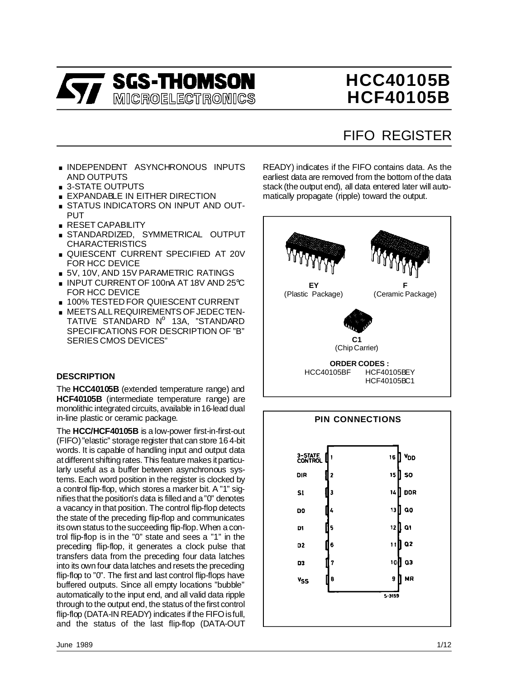

# **HCC40105B HCF40105B**

## FIFO REGISTER

- **INDEPENDENT ASYNCHRONOUS INPUTS** AND OUTPUTS
- . 3-STATE OUTPUTS
- . EXPANDABLE IN EITHER DIRECTION
- . STATUS INDICATORS ON INPUT AND OUT-**PUT**
- **RESET CAPABILITY**
- . STANDARDIZED, SYMMETRICAL OUTPUT **CHARACTERISTICS**
- **QUIESCENT CURRENT SPECIFIED AT 20V** FOR HCC DEVICE ■ QUIESCENT CURRENT SPECIFIED AT 2<br>FOR HCC DEVICE<br>■ 5V, 10V, AND 15V PARAMETRIC RATINGS
- 
- FOR HCC DEVICE<br>■ 5V, 10V, AND 15V PARAMETRIC RATINGS<br>■ INPUT CURRENT OF 100nA AT 18V AND 25℃<br>FOR UCC REVICE FOR HCC DEVICE ■ INPUT CURRENT OF 100nA AT 18V AND 25°<br>FOR HCC DEVICE<br>■ 100% TESTED FOR QUIESCENT CURRENT<br>MEETS ALL REQUIPEMENTS OF JEDECTEN
- 
- FOR HCC DEVICE<br>■ 100% TESTED FOR QUIESCENT CURRENT<br>■ MEETS ALL REQUIREMENTS OF JEDEC TEN-**MEETS ALL REQUIREMENTS OF JEDEC TENTATIVE STANDARD**  $N^{\circ}$  13A, "STANDARD" SPECIFICATIONS FOR DESCRIPTION OF "B" SERIES CMOS DEVICES"

### **DESCRIPTION**

The **HCC40105B** (extended temperature range) and **HCF40105B** (intermediate temperature range) are monolithic integrated circuits, available in16-lead dual in-line plastic or ceramic package.

The **HCC/HCF40105B** is a low-power first-in-first-out (FIFO)"elastic" storage register that can store 16 4-bit words. It is capable of handling input and output data atdifferent shifting rates. This feature makes itparticularly useful as a buffer between asynchronous systems. Each word position in the register is clocked by a control flip-flop, which stores a marker bit. A "1" signifiesthat the position's data is filled and a"0" denotes a vacancy in that position. The control flip-flop detects the state of the preceding flip-flop and communicates its own status to the succeeding flip-flop. When a control flip-flop is in the "0" state and sees a "1" in the preceding flip-flop, it generates a clock pulse that transfers data from the preceding four data latches into its own four data latches and resets the preceding flip-flop to "0". The first and last control flip-flops have buffered outputs. Since all empty locations "bubble" automatically to the input end, and all valid data ripple through to the output end, the status of the first control flip-flop (DATA-IN READY) indicates if the FIFO is full, and the status of the last flip-flop (DATA-OUT

READY) indicates if the FIFO contains data. As the earliest data are removed from the bottom of the data stack (the output end), all data entered later will automatically propagate (ripple) toward the output.



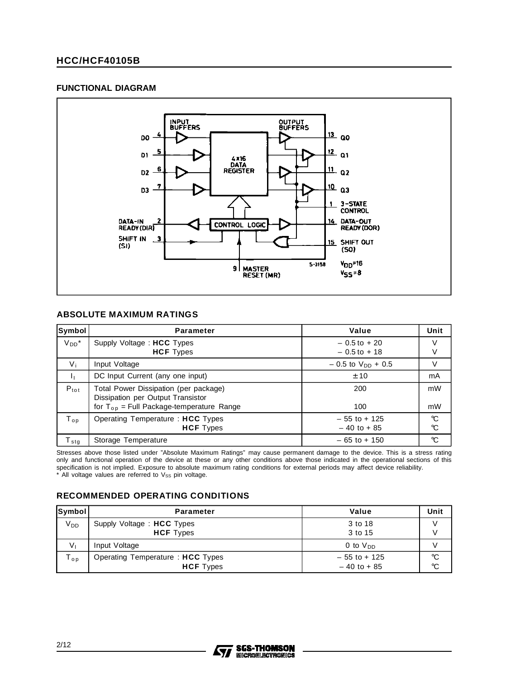### **FUNCTIONAL DIAGRAM**



### **ABSOLUTE MAXIMUM RATINGS**

| Symbol                      | <b>Parameter</b>                                                                                                            | Value                              | Unit                         |
|-----------------------------|-----------------------------------------------------------------------------------------------------------------------------|------------------------------------|------------------------------|
| $V_{DD}$ *                  | Supply Voltage: HCC Types<br><b>HCF</b> Types                                                                               | $-0.5$ to $+20$<br>$-0.5$ to $+18$ | V<br>V                       |
| $V_i$                       | Input Voltage                                                                                                               | $-0.5$ to $V_{DD} + 0.5$           | V                            |
|                             | DC Input Current (any one input)                                                                                            | ± 10                               | mA                           |
| $P_{\text{tot}}$            | Total Power Dissipation (per package)<br>Dissipation per Output Transistor<br>for $T_{op}$ = Full Package-temperature Range | 200<br>100                         | mW<br>mW                     |
| $T_{op}$                    | Operating Temperature: HCC Types<br><b>HCF</b> Types                                                                        | $-55$ to $+125$<br>$-40$ to $+85$  | $\mathrm{C}$<br>$\mathrm{C}$ |
| $\mathsf{T}_{\mathsf{std}}$ | Storage Temperature                                                                                                         | $-65$ to $+150$                    | °C                           |

Stresses above those listed under "Absolute Maximum Ratings" may cause permanent damage to the device. This is a stress rating only and functional operation of the device at these or any other conditions above those indicated in the operational sections of this specification is not implied. Exposure to absolute maximum rating conditions for external periods may affect device reliability.  $*$  All voltage values are referred to  $V_{SS}$  pin voltage.

### **RECOMMENDED OPERATING CONDITIONS**

| <b>Symbol</b>   | <b>Parameter</b>                 | Value           | Unit |
|-----------------|----------------------------------|-----------------|------|
| V <sub>DD</sub> | Supply Voltage: HCC Types        | 3 to 18         |      |
|                 | <b>HCF</b> Types                 | 3 to 15         |      |
| $V_{1}$         | Input Voltage                    | n V ס 0 0       |      |
| ${\tt T_{op}}$  | Operating Temperature: HCC Types | $-55$ to $+125$ | ℃    |
|                 | <b>HCF</b> Types                 | $-40$ to $+85$  | ℃    |

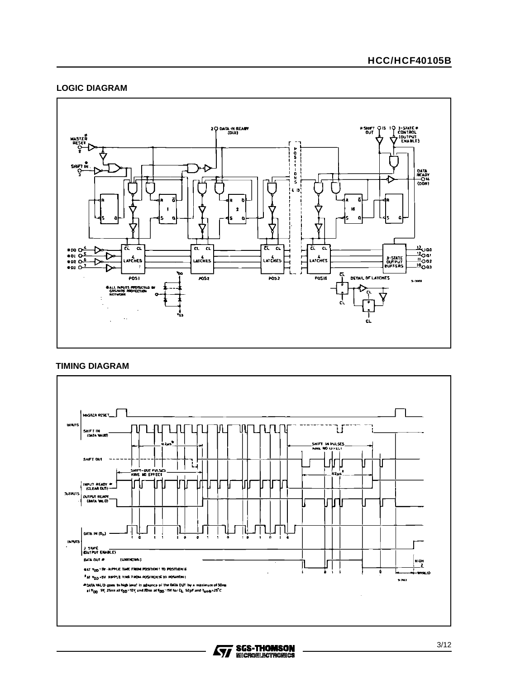### **LOGIC DIAGRAM**



#### **TIMING DIAGRAM**

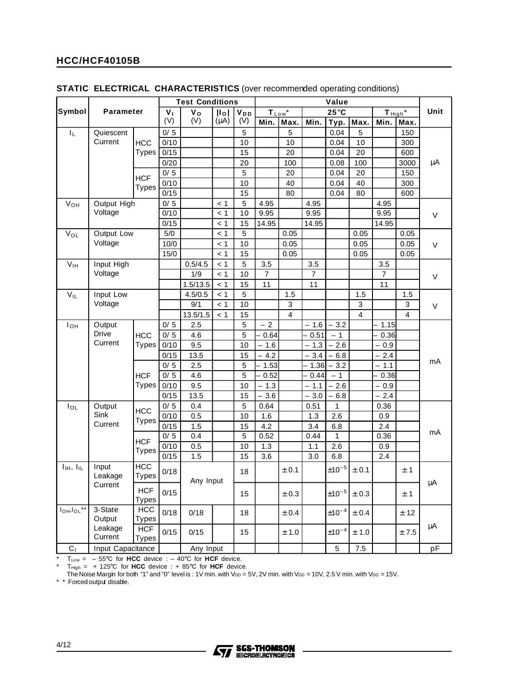| $T_{Low}$<br>Unit<br>Parameter<br>V <sub>DD</sub><br>$25^{\circ}$ C<br>$T$ <sub>High</sub> $*$<br>V <sub>1</sub><br>V <sub>o</sub><br>$ I_0 $<br>(V)<br>(V)<br>$(\mu A)$<br>(V)<br>Max.<br>Min.<br>Max.<br>Min.<br>Max.<br>Min.<br>Typ.<br>$I_L$<br>0/5<br>5<br>5<br>0.04<br>150<br>Quiescent<br>5<br>Current<br>0/10<br>10<br>10<br>0.04<br>10<br>300<br><b>HCC</b><br>0/15<br>15<br>20<br><b>Types</b><br>20<br>0.04<br>600<br>μA<br>0/20<br>20<br>100<br>0.08<br>100<br>3000<br>0/5<br>5<br>20<br>20<br>0.04<br>150<br><b>HCF</b><br>10<br>0/10<br>40<br>0.04<br>40<br>300<br><b>Types</b><br>0/15<br>15<br>80<br>0.04<br>80<br>600<br>Output High<br>0/5<br>5<br><b>V<sub>OH</sub></b><br>4.95<br>4.95<br>4.95<br>< 1<br>Voltage<br>0/10<br>10<br>9.95<br>9.95<br>< 1<br>9.95<br>V<br>0/15<br>15<br>14.95<br>14.95<br>14.95<br>< 1<br>Output Low<br>5/0<br>5<br>$V_{OL}$<br>< 1<br>0.05<br>0.05<br>0.05<br>Voltage<br>10/0<br>< 1<br>10<br>0.05<br>0.05<br>0.05<br>V<br>15/0<br>15<br>0.05<br>0.05<br>0.05<br>< 1<br>V <sub>IH</sub><br>Input High<br>5<br>3.5<br>3.5<br>0.5/4.5<br>< 1<br>3.5<br>Voltage<br>1/9<br>10<br>$\overline{7}$<br>$\overline{7}$<br>$\overline{7}$<br>< 1<br>$\mathsf V$<br>1.5/13.5<br>11<br>11<br>11<br>< 1<br>15<br>Input Low<br>$V_{IL}$<br>5<br>4.5/0.5<br>1.5<br>1.5<br>< 1<br>1.5<br>Voltage<br>9/1<br>3<br>$\mathbf{3}$<br>10<br>3<br>< 1<br>$\mathsf V$<br>13.5/1.5<br>15<br>$\overline{4}$<br>$\overline{4}$<br>< 1<br>4<br>Output<br>0/5<br>$-2$<br>2.5<br>$-3.2$<br>1.15<br>5<br>$-1.6$<br>Iон<br><b>Drive</b><br><b>HCC</b><br>0/5<br>4.6<br>5<br>0.64<br>$-0.51$<br>0.36<br>$-1$<br>Current<br><b>Types</b><br>0/10<br>9.5<br>10<br>$-1.6$<br>1.3<br>2.6<br>0.9<br>$\qquad \qquad -$<br>0/15<br>13.5<br>15<br>$-4.2$<br>3.4<br>6.8<br>2.4<br>$\qquad \qquad -$<br>mA<br>0/5<br>2.5<br>5<br>$-1.53$<br>1.36<br>$-3.2$<br>$-1.1$<br>5<br>0/5<br>$-0.52$<br><b>HCF</b><br>4.6<br>$-0.44$<br>$-1$<br>0.36<br>Types<br>0/10<br>9.5<br>10<br>$-1.3$<br>2.6<br>$-1.1$<br>$-0.9$<br>$-3.6$<br>0/15<br>13.5<br>15<br>$-3.0$<br>6.8<br>$-2.4$<br>0/5<br>Output<br>5<br>0.64<br>1<br>0.36<br>0.4<br>0.51<br>$I_{OL}$<br><b>HCC</b><br>Sink<br>0/10<br>10<br>1.6<br>1.3<br>2.6<br>0.9<br>0.5<br><b>Types</b><br>Current<br>4.2<br>3.4<br>$2.4\,$<br>0/15<br>1.5<br>15<br>6.8<br>mA<br>0/5<br>5<br>0.4<br>0.52<br>$\mathbf{1}$<br>0.36<br>0.44<br><b>HCF</b><br>0/10<br>10<br>1.3<br>2.6<br>0.5<br>1.1<br>0.9<br><b>Types</b><br>0/15<br>1.5<br>15<br>3.6<br>3.0<br>6.8<br>2.4<br><b>HCC</b><br>Input<br>$I_{\text{IH}}$ , $I_{\text{IL}}$<br>$\pm 10^{-5}$<br>± 0.1<br>± 0.1<br>$±$ 1<br>0/18<br>18<br>Leakage<br><b>Types</b><br>Any Input<br>μA<br>Current<br><b>HCF</b><br>0/15<br>$±10^{-5}$<br>$\pm$ 0.3<br>15<br>$\pm$ 0.3<br>± 1<br><b>Types</b><br>3-State<br>HCC<br>$I_{OH}I_{OL}$ **<br>$±10^{-4}$<br>0/18<br>0/18<br>$\pm$ 0.4<br>18<br>± 0.4<br>± 12<br>Output<br><b>Types</b><br>μA<br>Leakage<br><b>HCF</b><br>$\pm$ 10 <sup>-4</sup><br>0/15<br>0/15<br>15<br>$\pm$ 1.0<br>$\pm$ 1.0<br>$\pm$ 7.5<br>Current<br><b>Types</b> |                |                   | <b>Test Conditions</b> |  |           | Value |  |  |  |                |         |  |  |    |
|-----------------------------------------------------------------------------------------------------------------------------------------------------------------------------------------------------------------------------------------------------------------------------------------------------------------------------------------------------------------------------------------------------------------------------------------------------------------------------------------------------------------------------------------------------------------------------------------------------------------------------------------------------------------------------------------------------------------------------------------------------------------------------------------------------------------------------------------------------------------------------------------------------------------------------------------------------------------------------------------------------------------------------------------------------------------------------------------------------------------------------------------------------------------------------------------------------------------------------------------------------------------------------------------------------------------------------------------------------------------------------------------------------------------------------------------------------------------------------------------------------------------------------------------------------------------------------------------------------------------------------------------------------------------------------------------------------------------------------------------------------------------------------------------------------------------------------------------------------------------------------------------------------------------------------------------------------------------------------------------------------------------------------------------------------------------------------------------------------------------------------------------------------------------------------------------------------------------------------------------------------------------------------------------------------------------------------------------------------------------------------------------------------------------------------------------------------------------------------------------------------------------------------------------------------------------------------------------------------------------------------------------------------------------------------------------------------------------------------------------------------------------------------------------------------------------------------------------------------------------------------------------------------------------------------------------------------------------------------------------------------------------------------------------------------------------------------|----------------|-------------------|------------------------|--|-----------|-------|--|--|--|----------------|---------|--|--|----|
|                                                                                                                                                                                                                                                                                                                                                                                                                                                                                                                                                                                                                                                                                                                                                                                                                                                                                                                                                                                                                                                                                                                                                                                                                                                                                                                                                                                                                                                                                                                                                                                                                                                                                                                                                                                                                                                                                                                                                                                                                                                                                                                                                                                                                                                                                                                                                                                                                                                                                                                                                                                                                                                                                                                                                                                                                                                                                                                                                                                                                                                                             | Symbol         |                   |                        |  |           |       |  |  |  |                |         |  |  |    |
|                                                                                                                                                                                                                                                                                                                                                                                                                                                                                                                                                                                                                                                                                                                                                                                                                                                                                                                                                                                                                                                                                                                                                                                                                                                                                                                                                                                                                                                                                                                                                                                                                                                                                                                                                                                                                                                                                                                                                                                                                                                                                                                                                                                                                                                                                                                                                                                                                                                                                                                                                                                                                                                                                                                                                                                                                                                                                                                                                                                                                                                                             |                |                   |                        |  |           |       |  |  |  |                |         |  |  |    |
|                                                                                                                                                                                                                                                                                                                                                                                                                                                                                                                                                                                                                                                                                                                                                                                                                                                                                                                                                                                                                                                                                                                                                                                                                                                                                                                                                                                                                                                                                                                                                                                                                                                                                                                                                                                                                                                                                                                                                                                                                                                                                                                                                                                                                                                                                                                                                                                                                                                                                                                                                                                                                                                                                                                                                                                                                                                                                                                                                                                                                                                                             |                |                   |                        |  |           |       |  |  |  |                |         |  |  |    |
|                                                                                                                                                                                                                                                                                                                                                                                                                                                                                                                                                                                                                                                                                                                                                                                                                                                                                                                                                                                                                                                                                                                                                                                                                                                                                                                                                                                                                                                                                                                                                                                                                                                                                                                                                                                                                                                                                                                                                                                                                                                                                                                                                                                                                                                                                                                                                                                                                                                                                                                                                                                                                                                                                                                                                                                                                                                                                                                                                                                                                                                                             |                |                   |                        |  |           |       |  |  |  |                |         |  |  |    |
|                                                                                                                                                                                                                                                                                                                                                                                                                                                                                                                                                                                                                                                                                                                                                                                                                                                                                                                                                                                                                                                                                                                                                                                                                                                                                                                                                                                                                                                                                                                                                                                                                                                                                                                                                                                                                                                                                                                                                                                                                                                                                                                                                                                                                                                                                                                                                                                                                                                                                                                                                                                                                                                                                                                                                                                                                                                                                                                                                                                                                                                                             |                |                   |                        |  |           |       |  |  |  |                |         |  |  |    |
|                                                                                                                                                                                                                                                                                                                                                                                                                                                                                                                                                                                                                                                                                                                                                                                                                                                                                                                                                                                                                                                                                                                                                                                                                                                                                                                                                                                                                                                                                                                                                                                                                                                                                                                                                                                                                                                                                                                                                                                                                                                                                                                                                                                                                                                                                                                                                                                                                                                                                                                                                                                                                                                                                                                                                                                                                                                                                                                                                                                                                                                                             |                |                   |                        |  |           |       |  |  |  |                |         |  |  |    |
|                                                                                                                                                                                                                                                                                                                                                                                                                                                                                                                                                                                                                                                                                                                                                                                                                                                                                                                                                                                                                                                                                                                                                                                                                                                                                                                                                                                                                                                                                                                                                                                                                                                                                                                                                                                                                                                                                                                                                                                                                                                                                                                                                                                                                                                                                                                                                                                                                                                                                                                                                                                                                                                                                                                                                                                                                                                                                                                                                                                                                                                                             |                |                   |                        |  |           |       |  |  |  |                |         |  |  |    |
|                                                                                                                                                                                                                                                                                                                                                                                                                                                                                                                                                                                                                                                                                                                                                                                                                                                                                                                                                                                                                                                                                                                                                                                                                                                                                                                                                                                                                                                                                                                                                                                                                                                                                                                                                                                                                                                                                                                                                                                                                                                                                                                                                                                                                                                                                                                                                                                                                                                                                                                                                                                                                                                                                                                                                                                                                                                                                                                                                                                                                                                                             |                |                   |                        |  |           |       |  |  |  |                |         |  |  |    |
|                                                                                                                                                                                                                                                                                                                                                                                                                                                                                                                                                                                                                                                                                                                                                                                                                                                                                                                                                                                                                                                                                                                                                                                                                                                                                                                                                                                                                                                                                                                                                                                                                                                                                                                                                                                                                                                                                                                                                                                                                                                                                                                                                                                                                                                                                                                                                                                                                                                                                                                                                                                                                                                                                                                                                                                                                                                                                                                                                                                                                                                                             |                |                   |                        |  |           |       |  |  |  |                |         |  |  |    |
|                                                                                                                                                                                                                                                                                                                                                                                                                                                                                                                                                                                                                                                                                                                                                                                                                                                                                                                                                                                                                                                                                                                                                                                                                                                                                                                                                                                                                                                                                                                                                                                                                                                                                                                                                                                                                                                                                                                                                                                                                                                                                                                                                                                                                                                                                                                                                                                                                                                                                                                                                                                                                                                                                                                                                                                                                                                                                                                                                                                                                                                                             |                |                   |                        |  |           |       |  |  |  |                |         |  |  |    |
|                                                                                                                                                                                                                                                                                                                                                                                                                                                                                                                                                                                                                                                                                                                                                                                                                                                                                                                                                                                                                                                                                                                                                                                                                                                                                                                                                                                                                                                                                                                                                                                                                                                                                                                                                                                                                                                                                                                                                                                                                                                                                                                                                                                                                                                                                                                                                                                                                                                                                                                                                                                                                                                                                                                                                                                                                                                                                                                                                                                                                                                                             |                |                   |                        |  |           |       |  |  |  |                |         |  |  |    |
|                                                                                                                                                                                                                                                                                                                                                                                                                                                                                                                                                                                                                                                                                                                                                                                                                                                                                                                                                                                                                                                                                                                                                                                                                                                                                                                                                                                                                                                                                                                                                                                                                                                                                                                                                                                                                                                                                                                                                                                                                                                                                                                                                                                                                                                                                                                                                                                                                                                                                                                                                                                                                                                                                                                                                                                                                                                                                                                                                                                                                                                                             |                |                   |                        |  |           |       |  |  |  |                |         |  |  |    |
|                                                                                                                                                                                                                                                                                                                                                                                                                                                                                                                                                                                                                                                                                                                                                                                                                                                                                                                                                                                                                                                                                                                                                                                                                                                                                                                                                                                                                                                                                                                                                                                                                                                                                                                                                                                                                                                                                                                                                                                                                                                                                                                                                                                                                                                                                                                                                                                                                                                                                                                                                                                                                                                                                                                                                                                                                                                                                                                                                                                                                                                                             |                |                   |                        |  |           |       |  |  |  |                |         |  |  |    |
|                                                                                                                                                                                                                                                                                                                                                                                                                                                                                                                                                                                                                                                                                                                                                                                                                                                                                                                                                                                                                                                                                                                                                                                                                                                                                                                                                                                                                                                                                                                                                                                                                                                                                                                                                                                                                                                                                                                                                                                                                                                                                                                                                                                                                                                                                                                                                                                                                                                                                                                                                                                                                                                                                                                                                                                                                                                                                                                                                                                                                                                                             |                |                   |                        |  |           |       |  |  |  |                |         |  |  |    |
|                                                                                                                                                                                                                                                                                                                                                                                                                                                                                                                                                                                                                                                                                                                                                                                                                                                                                                                                                                                                                                                                                                                                                                                                                                                                                                                                                                                                                                                                                                                                                                                                                                                                                                                                                                                                                                                                                                                                                                                                                                                                                                                                                                                                                                                                                                                                                                                                                                                                                                                                                                                                                                                                                                                                                                                                                                                                                                                                                                                                                                                                             |                |                   |                        |  |           |       |  |  |  |                |         |  |  |    |
|                                                                                                                                                                                                                                                                                                                                                                                                                                                                                                                                                                                                                                                                                                                                                                                                                                                                                                                                                                                                                                                                                                                                                                                                                                                                                                                                                                                                                                                                                                                                                                                                                                                                                                                                                                                                                                                                                                                                                                                                                                                                                                                                                                                                                                                                                                                                                                                                                                                                                                                                                                                                                                                                                                                                                                                                                                                                                                                                                                                                                                                                             |                |                   |                        |  |           |       |  |  |  |                |         |  |  |    |
|                                                                                                                                                                                                                                                                                                                                                                                                                                                                                                                                                                                                                                                                                                                                                                                                                                                                                                                                                                                                                                                                                                                                                                                                                                                                                                                                                                                                                                                                                                                                                                                                                                                                                                                                                                                                                                                                                                                                                                                                                                                                                                                                                                                                                                                                                                                                                                                                                                                                                                                                                                                                                                                                                                                                                                                                                                                                                                                                                                                                                                                                             |                |                   |                        |  |           |       |  |  |  |                |         |  |  |    |
|                                                                                                                                                                                                                                                                                                                                                                                                                                                                                                                                                                                                                                                                                                                                                                                                                                                                                                                                                                                                                                                                                                                                                                                                                                                                                                                                                                                                                                                                                                                                                                                                                                                                                                                                                                                                                                                                                                                                                                                                                                                                                                                                                                                                                                                                                                                                                                                                                                                                                                                                                                                                                                                                                                                                                                                                                                                                                                                                                                                                                                                                             |                |                   |                        |  |           |       |  |  |  |                |         |  |  |    |
|                                                                                                                                                                                                                                                                                                                                                                                                                                                                                                                                                                                                                                                                                                                                                                                                                                                                                                                                                                                                                                                                                                                                                                                                                                                                                                                                                                                                                                                                                                                                                                                                                                                                                                                                                                                                                                                                                                                                                                                                                                                                                                                                                                                                                                                                                                                                                                                                                                                                                                                                                                                                                                                                                                                                                                                                                                                                                                                                                                                                                                                                             |                |                   |                        |  |           |       |  |  |  |                |         |  |  |    |
|                                                                                                                                                                                                                                                                                                                                                                                                                                                                                                                                                                                                                                                                                                                                                                                                                                                                                                                                                                                                                                                                                                                                                                                                                                                                                                                                                                                                                                                                                                                                                                                                                                                                                                                                                                                                                                                                                                                                                                                                                                                                                                                                                                                                                                                                                                                                                                                                                                                                                                                                                                                                                                                                                                                                                                                                                                                                                                                                                                                                                                                                             |                |                   |                        |  |           |       |  |  |  |                |         |  |  |    |
|                                                                                                                                                                                                                                                                                                                                                                                                                                                                                                                                                                                                                                                                                                                                                                                                                                                                                                                                                                                                                                                                                                                                                                                                                                                                                                                                                                                                                                                                                                                                                                                                                                                                                                                                                                                                                                                                                                                                                                                                                                                                                                                                                                                                                                                                                                                                                                                                                                                                                                                                                                                                                                                                                                                                                                                                                                                                                                                                                                                                                                                                             |                |                   |                        |  |           |       |  |  |  |                |         |  |  |    |
|                                                                                                                                                                                                                                                                                                                                                                                                                                                                                                                                                                                                                                                                                                                                                                                                                                                                                                                                                                                                                                                                                                                                                                                                                                                                                                                                                                                                                                                                                                                                                                                                                                                                                                                                                                                                                                                                                                                                                                                                                                                                                                                                                                                                                                                                                                                                                                                                                                                                                                                                                                                                                                                                                                                                                                                                                                                                                                                                                                                                                                                                             |                |                   |                        |  |           |       |  |  |  |                |         |  |  |    |
|                                                                                                                                                                                                                                                                                                                                                                                                                                                                                                                                                                                                                                                                                                                                                                                                                                                                                                                                                                                                                                                                                                                                                                                                                                                                                                                                                                                                                                                                                                                                                                                                                                                                                                                                                                                                                                                                                                                                                                                                                                                                                                                                                                                                                                                                                                                                                                                                                                                                                                                                                                                                                                                                                                                                                                                                                                                                                                                                                                                                                                                                             |                |                   |                        |  |           |       |  |  |  |                |         |  |  |    |
|                                                                                                                                                                                                                                                                                                                                                                                                                                                                                                                                                                                                                                                                                                                                                                                                                                                                                                                                                                                                                                                                                                                                                                                                                                                                                                                                                                                                                                                                                                                                                                                                                                                                                                                                                                                                                                                                                                                                                                                                                                                                                                                                                                                                                                                                                                                                                                                                                                                                                                                                                                                                                                                                                                                                                                                                                                                                                                                                                                                                                                                                             |                |                   |                        |  |           |       |  |  |  |                |         |  |  |    |
|                                                                                                                                                                                                                                                                                                                                                                                                                                                                                                                                                                                                                                                                                                                                                                                                                                                                                                                                                                                                                                                                                                                                                                                                                                                                                                                                                                                                                                                                                                                                                                                                                                                                                                                                                                                                                                                                                                                                                                                                                                                                                                                                                                                                                                                                                                                                                                                                                                                                                                                                                                                                                                                                                                                                                                                                                                                                                                                                                                                                                                                                             |                |                   |                        |  |           |       |  |  |  |                |         |  |  |    |
|                                                                                                                                                                                                                                                                                                                                                                                                                                                                                                                                                                                                                                                                                                                                                                                                                                                                                                                                                                                                                                                                                                                                                                                                                                                                                                                                                                                                                                                                                                                                                                                                                                                                                                                                                                                                                                                                                                                                                                                                                                                                                                                                                                                                                                                                                                                                                                                                                                                                                                                                                                                                                                                                                                                                                                                                                                                                                                                                                                                                                                                                             |                |                   |                        |  |           |       |  |  |  |                |         |  |  |    |
|                                                                                                                                                                                                                                                                                                                                                                                                                                                                                                                                                                                                                                                                                                                                                                                                                                                                                                                                                                                                                                                                                                                                                                                                                                                                                                                                                                                                                                                                                                                                                                                                                                                                                                                                                                                                                                                                                                                                                                                                                                                                                                                                                                                                                                                                                                                                                                                                                                                                                                                                                                                                                                                                                                                                                                                                                                                                                                                                                                                                                                                                             |                |                   |                        |  |           |       |  |  |  |                |         |  |  |    |
|                                                                                                                                                                                                                                                                                                                                                                                                                                                                                                                                                                                                                                                                                                                                                                                                                                                                                                                                                                                                                                                                                                                                                                                                                                                                                                                                                                                                                                                                                                                                                                                                                                                                                                                                                                                                                                                                                                                                                                                                                                                                                                                                                                                                                                                                                                                                                                                                                                                                                                                                                                                                                                                                                                                                                                                                                                                                                                                                                                                                                                                                             |                |                   |                        |  |           |       |  |  |  |                |         |  |  |    |
|                                                                                                                                                                                                                                                                                                                                                                                                                                                                                                                                                                                                                                                                                                                                                                                                                                                                                                                                                                                                                                                                                                                                                                                                                                                                                                                                                                                                                                                                                                                                                                                                                                                                                                                                                                                                                                                                                                                                                                                                                                                                                                                                                                                                                                                                                                                                                                                                                                                                                                                                                                                                                                                                                                                                                                                                                                                                                                                                                                                                                                                                             |                |                   |                        |  |           |       |  |  |  |                |         |  |  |    |
|                                                                                                                                                                                                                                                                                                                                                                                                                                                                                                                                                                                                                                                                                                                                                                                                                                                                                                                                                                                                                                                                                                                                                                                                                                                                                                                                                                                                                                                                                                                                                                                                                                                                                                                                                                                                                                                                                                                                                                                                                                                                                                                                                                                                                                                                                                                                                                                                                                                                                                                                                                                                                                                                                                                                                                                                                                                                                                                                                                                                                                                                             |                |                   |                        |  |           |       |  |  |  |                |         |  |  |    |
|                                                                                                                                                                                                                                                                                                                                                                                                                                                                                                                                                                                                                                                                                                                                                                                                                                                                                                                                                                                                                                                                                                                                                                                                                                                                                                                                                                                                                                                                                                                                                                                                                                                                                                                                                                                                                                                                                                                                                                                                                                                                                                                                                                                                                                                                                                                                                                                                                                                                                                                                                                                                                                                                                                                                                                                                                                                                                                                                                                                                                                                                             |                |                   |                        |  |           |       |  |  |  |                |         |  |  |    |
|                                                                                                                                                                                                                                                                                                                                                                                                                                                                                                                                                                                                                                                                                                                                                                                                                                                                                                                                                                                                                                                                                                                                                                                                                                                                                                                                                                                                                                                                                                                                                                                                                                                                                                                                                                                                                                                                                                                                                                                                                                                                                                                                                                                                                                                                                                                                                                                                                                                                                                                                                                                                                                                                                                                                                                                                                                                                                                                                                                                                                                                                             |                |                   |                        |  |           |       |  |  |  |                |         |  |  |    |
|                                                                                                                                                                                                                                                                                                                                                                                                                                                                                                                                                                                                                                                                                                                                                                                                                                                                                                                                                                                                                                                                                                                                                                                                                                                                                                                                                                                                                                                                                                                                                                                                                                                                                                                                                                                                                                                                                                                                                                                                                                                                                                                                                                                                                                                                                                                                                                                                                                                                                                                                                                                                                                                                                                                                                                                                                                                                                                                                                                                                                                                                             |                |                   |                        |  |           |       |  |  |  |                |         |  |  |    |
|                                                                                                                                                                                                                                                                                                                                                                                                                                                                                                                                                                                                                                                                                                                                                                                                                                                                                                                                                                                                                                                                                                                                                                                                                                                                                                                                                                                                                                                                                                                                                                                                                                                                                                                                                                                                                                                                                                                                                                                                                                                                                                                                                                                                                                                                                                                                                                                                                                                                                                                                                                                                                                                                                                                                                                                                                                                                                                                                                                                                                                                                             |                |                   |                        |  |           |       |  |  |  |                |         |  |  |    |
|                                                                                                                                                                                                                                                                                                                                                                                                                                                                                                                                                                                                                                                                                                                                                                                                                                                                                                                                                                                                                                                                                                                                                                                                                                                                                                                                                                                                                                                                                                                                                                                                                                                                                                                                                                                                                                                                                                                                                                                                                                                                                                                                                                                                                                                                                                                                                                                                                                                                                                                                                                                                                                                                                                                                                                                                                                                                                                                                                                                                                                                                             |                |                   |                        |  |           |       |  |  |  |                |         |  |  |    |
|                                                                                                                                                                                                                                                                                                                                                                                                                                                                                                                                                                                                                                                                                                                                                                                                                                                                                                                                                                                                                                                                                                                                                                                                                                                                                                                                                                                                                                                                                                                                                                                                                                                                                                                                                                                                                                                                                                                                                                                                                                                                                                                                                                                                                                                                                                                                                                                                                                                                                                                                                                                                                                                                                                                                                                                                                                                                                                                                                                                                                                                                             |                |                   |                        |  |           |       |  |  |  |                |         |  |  |    |
|                                                                                                                                                                                                                                                                                                                                                                                                                                                                                                                                                                                                                                                                                                                                                                                                                                                                                                                                                                                                                                                                                                                                                                                                                                                                                                                                                                                                                                                                                                                                                                                                                                                                                                                                                                                                                                                                                                                                                                                                                                                                                                                                                                                                                                                                                                                                                                                                                                                                                                                                                                                                                                                                                                                                                                                                                                                                                                                                                                                                                                                                             |                |                   |                        |  |           |       |  |  |  |                |         |  |  |    |
|                                                                                                                                                                                                                                                                                                                                                                                                                                                                                                                                                                                                                                                                                                                                                                                                                                                                                                                                                                                                                                                                                                                                                                                                                                                                                                                                                                                                                                                                                                                                                                                                                                                                                                                                                                                                                                                                                                                                                                                                                                                                                                                                                                                                                                                                                                                                                                                                                                                                                                                                                                                                                                                                                                                                                                                                                                                                                                                                                                                                                                                                             |                |                   |                        |  |           |       |  |  |  |                |         |  |  |    |
|                                                                                                                                                                                                                                                                                                                                                                                                                                                                                                                                                                                                                                                                                                                                                                                                                                                                                                                                                                                                                                                                                                                                                                                                                                                                                                                                                                                                                                                                                                                                                                                                                                                                                                                                                                                                                                                                                                                                                                                                                                                                                                                                                                                                                                                                                                                                                                                                                                                                                                                                                                                                                                                                                                                                                                                                                                                                                                                                                                                                                                                                             |                |                   |                        |  |           |       |  |  |  |                |         |  |  |    |
|                                                                                                                                                                                                                                                                                                                                                                                                                                                                                                                                                                                                                                                                                                                                                                                                                                                                                                                                                                                                                                                                                                                                                                                                                                                                                                                                                                                                                                                                                                                                                                                                                                                                                                                                                                                                                                                                                                                                                                                                                                                                                                                                                                                                                                                                                                                                                                                                                                                                                                                                                                                                                                                                                                                                                                                                                                                                                                                                                                                                                                                                             |                |                   |                        |  |           |       |  |  |  |                |         |  |  |    |
|                                                                                                                                                                                                                                                                                                                                                                                                                                                                                                                                                                                                                                                                                                                                                                                                                                                                                                                                                                                                                                                                                                                                                                                                                                                                                                                                                                                                                                                                                                                                                                                                                                                                                                                                                                                                                                                                                                                                                                                                                                                                                                                                                                                                                                                                                                                                                                                                                                                                                                                                                                                                                                                                                                                                                                                                                                                                                                                                                                                                                                                                             |                |                   |                        |  |           |       |  |  |  |                |         |  |  |    |
|                                                                                                                                                                                                                                                                                                                                                                                                                                                                                                                                                                                                                                                                                                                                                                                                                                                                                                                                                                                                                                                                                                                                                                                                                                                                                                                                                                                                                                                                                                                                                                                                                                                                                                                                                                                                                                                                                                                                                                                                                                                                                                                                                                                                                                                                                                                                                                                                                                                                                                                                                                                                                                                                                                                                                                                                                                                                                                                                                                                                                                                                             |                |                   |                        |  |           |       |  |  |  |                |         |  |  |    |
|                                                                                                                                                                                                                                                                                                                                                                                                                                                                                                                                                                                                                                                                                                                                                                                                                                                                                                                                                                                                                                                                                                                                                                                                                                                                                                                                                                                                                                                                                                                                                                                                                                                                                                                                                                                                                                                                                                                                                                                                                                                                                                                                                                                                                                                                                                                                                                                                                                                                                                                                                                                                                                                                                                                                                                                                                                                                                                                                                                                                                                                                             |                |                   |                        |  |           |       |  |  |  |                |         |  |  |    |
|                                                                                                                                                                                                                                                                                                                                                                                                                                                                                                                                                                                                                                                                                                                                                                                                                                                                                                                                                                                                                                                                                                                                                                                                                                                                                                                                                                                                                                                                                                                                                                                                                                                                                                                                                                                                                                                                                                                                                                                                                                                                                                                                                                                                                                                                                                                                                                                                                                                                                                                                                                                                                                                                                                                                                                                                                                                                                                                                                                                                                                                                             | C <sub>1</sub> | Input Capacitance |                        |  | Any Input |       |  |  |  | $\overline{5}$ | $7.5\,$ |  |  | pF |

#### **STATIC ELECTRICAL CHARACTERISTICS** (over recommended operating conditions)

 $*$   $T_{Low} = -55^{\circ}$ C for HCC device :  $-40^{\circ}$ C for HCF device.

\* THigh = + 125°C for **HCC** device : + 85°C for **HCF** device.

The Noise Margin for both "1" and "0" level is : 1V min. with V $_\text{DD}$  = 5V, 2V min. with V $_\text{DD}$  = 10V, 2.5 V min. with V $_\text{DD}$  = 15V.

\* \* Forced output disable.

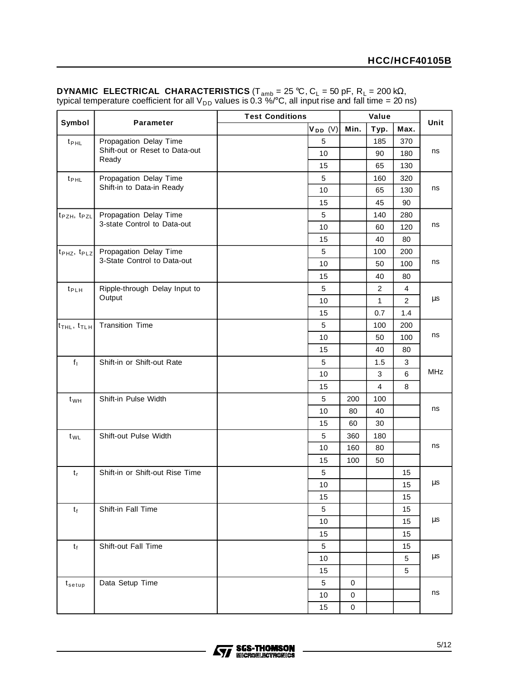|                                     |                                 | <b>Test Conditions</b> |                |             |                |                |            |
|-------------------------------------|---------------------------------|------------------------|----------------|-------------|----------------|----------------|------------|
| Symbol                              | <b>Parameter</b>                |                        | $V_{DD}$ (V)   | Min.        | Typ.           | Max.           | Unit       |
| t <sub>PHL</sub>                    | Propagation Delay Time          |                        | 5              |             | 185            | 370            |            |
|                                     | Shift-out or Reset to Data-out  |                        | 10             |             | 90             | 180            | ns         |
|                                     | Ready                           |                        | 15             |             | 65             | 130            |            |
| t <sub>PHL</sub>                    | Propagation Delay Time          |                        | 5              |             | 160            | 320            |            |
|                                     | Shift-in to Data-in Ready       |                        | 10             |             | 65             | 130            | ns         |
|                                     |                                 |                        | 15             |             | 45             | 90             |            |
| t <sub>PZH</sub> , t <sub>PZL</sub> | Propagation Delay Time          |                        | $\overline{5}$ |             | 140            | 280            |            |
|                                     | 3-state Control to Data-out     |                        | 10             |             | 60             | 120            | ns         |
|                                     |                                 |                        | 15             |             | 40             | 80             |            |
| t <sub>PHZ</sub> , t <sub>PLZ</sub> | Propagation Delay Time          |                        | 5              |             | 100            | 200            |            |
|                                     | 3-State Control to Data-out     |                        | 10             |             | 50             | 100            | ns         |
|                                     |                                 |                        | 15             |             | 40             | 80             |            |
| t <sub>PLH</sub>                    | Ripple-through Delay Input to   |                        | 5              |             | $\overline{2}$ | 4              |            |
|                                     | Output                          |                        | 10             |             | $\mathbf{1}$   | $\overline{2}$ | $\mu s$    |
|                                     |                                 |                        | 15             |             | 0.7            | 1.4            |            |
| t <sub>THL</sub> , t <sub>TLH</sub> | <b>Transition Time</b>          |                        | 5              |             | 100            | 200            |            |
|                                     |                                 |                        | 10             |             | 50             | 100            | ns         |
|                                     |                                 |                        | 15             |             | 40             | 80             |            |
| f <sub>1</sub>                      | Shift-in or Shift-out Rate      |                        | $\overline{5}$ |             | 1.5            | 3              |            |
|                                     |                                 |                        | 10             |             | 3              | 6              | <b>MHz</b> |
|                                     |                                 |                        | 15             |             | $\overline{4}$ | 8              |            |
| t <sub>WH</sub>                     | Shift-in Pulse Width            |                        | 5              | 200         | 100            |                |            |
|                                     |                                 |                        | 10             | 80          | 40             |                | ns         |
|                                     |                                 |                        | 15             | 60          | 30             |                |            |
| t <sub>WL</sub>                     | Shift-out Pulse Width           |                        | 5              | 360         | 180            |                |            |
|                                     |                                 |                        | 10             | 160         | 80             |                | ns         |
|                                     |                                 |                        | 15             | 100         | 50             |                |            |
| $t_r$                               | Shift-in or Shift-out Rise Time |                        | 5              |             |                | 15             |            |
|                                     |                                 |                        | 10             |             |                | 15             | $\mu s$    |
|                                     |                                 |                        | 15             |             |                | 15             |            |
| $t_f$                               | Shift-in Fall Time              |                        | 5              |             |                | 15             |            |
|                                     |                                 |                        | 10             |             |                | 15             | $\mu s$    |
|                                     |                                 |                        | 15             |             |                | 15             |            |
| $t_f$                               | Shift-out Fall Time             |                        | 5              |             |                | 15             |            |
|                                     |                                 |                        | 10             |             |                | 5              | $\mu s$    |
|                                     |                                 |                        | 15             |             |                | 5              |            |
| $t_{\texttt{setup}}$                | Data Setup Time                 |                        | 5              | $\mathbf 0$ |                |                |            |
|                                     |                                 |                        | 10             | 0           |                |                | ns         |
|                                     |                                 |                        | 15             | $\mathsf 0$ |                |                |            |

### **DYNAMIC ELECTRICAL CHARACTERISTICS** (T<sub>amb</sub> = 25 ℃, C<sub>L</sub> = 50 pF, R<sub>L</sub> = 200 kΩ, typical temperature coefficient for all V<sub>DD</sub> values is 0.3 %/°C, all input rise and fall time = 20 ns)

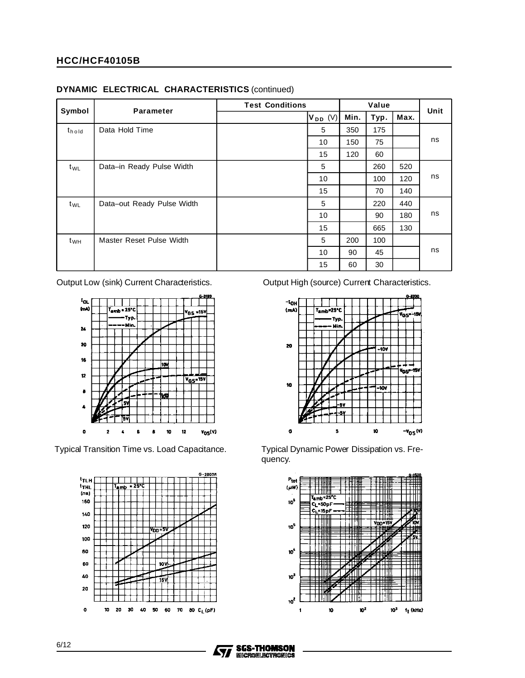| Symbol            | <b>Parameter</b>           | <b>Test Conditions</b> | Value        |      |      | Unit |    |
|-------------------|----------------------------|------------------------|--------------|------|------|------|----|
|                   |                            |                        | $V_{DD}$ (V) | Min. | Typ. | Max. |    |
| t <sub>hold</sub> | Data Hold Time             |                        | 5            | 350  | 175  |      |    |
|                   |                            |                        | 10           | 150  | 75   |      | ns |
|                   |                            |                        | 15           | 120  | 60   |      |    |
| $t_{WL}$          | Data-in Ready Pulse Width  |                        | 5            |      | 260  | 520  |    |
|                   |                            |                        | 10           |      | 100  | 120  | ns |
|                   |                            |                        | 15           |      | 70   | 140  |    |
| t <sub>WL</sub>   | Data-out Ready Pulse Width |                        | 5            |      | 220  | 440  |    |
|                   |                            |                        | 10           |      | 90   | 180  | ns |
|                   |                            |                        | 15           |      | 665  | 130  |    |
| t <sub>WH</sub>   | Master Reset Pulse Width   |                        | 5            | 200  | 100  |      |    |
|                   |                            |                        | 10           | 90   | 45   |      | ns |
|                   |                            |                        | 15           | 60   | 30   |      |    |

### **DYNAMIC ELECTRICAL CHARACTERISTICS** (continued)



Typical Transition Time vs. Load Capacitance. Typical Dynamic Power Dissipation vs. Fre-



Output Low (sink) Current Characteristics. Current High (source) Current Characteristics.



quency.



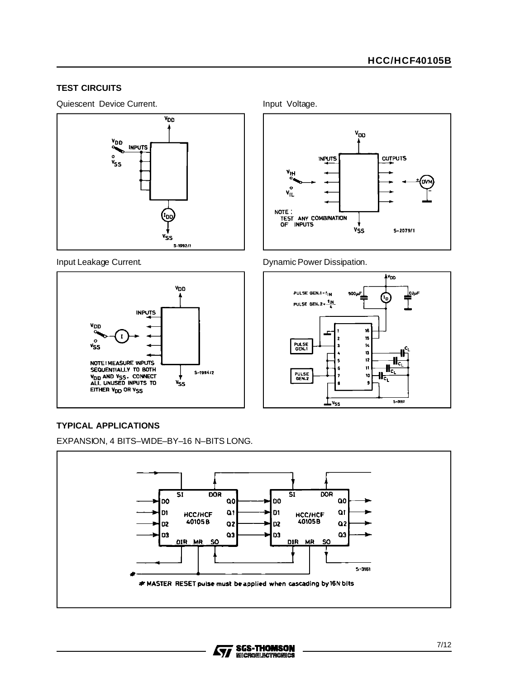### **TEST CIRCUITS**

Quiescent Device Current. **Input Voltage.** 







Input Leakage Current. The Contract of the Dynamic Power Dissipation.



### **TYPICAL APPLICATIONS**

EXPANSION, 4 BITS–WIDE–BY–16 N–BITS LONG.



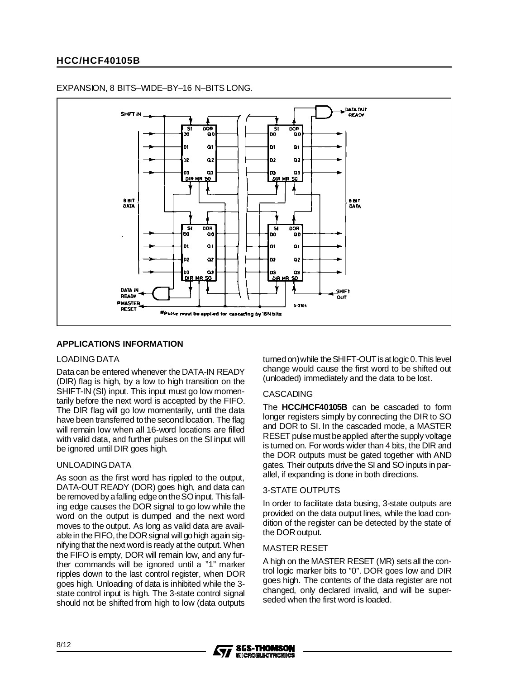

EXPANSION, 8 BITS–WIDE–BY–16 N–BITS LONG.

### **APPLICATIONS INFORMATION**

#### LOADING DATA

Data can be entered whenever the DATA-IN READY (DIR) flag is high, by a low to high transition on the SHIFT-IN (SI) input. This input must go low momentarily before the next word is accepted by the FIFO. The DIR flag will go low momentarily, until the data have been transferred to the second location. The flag will remain low when all 16-word locations are filled with valid data, and further pulses on the SI input will be ignored until DIR goes high.

#### UNLOADING DATA

As soon as the first word has rippled to the output, DATA-OUT READY (DOR) goes high, and data can be removed byafalling edge ontheSO input. This falling edge causes the DOR signal to go low while the word on the output is dumped and the next word moves to the output. As long as valid data are available in the FIFO, the DOR signal will go high again signifying that the next word is ready at the output. When the FIFO is empty, DOR will remain low, and any further commands will be ignored until a "1" marker ripples down to the last control register, when DOR goes high. Unloading of data is inhibited while the 3 state control input is high. The 3-state control signal should not be shifted from high to low (data outputs

turned on)while theSHIFT-OUTisat logic 0.This level change would cause the first word to be shifted out (unloaded) immediately and the data to be lost.

### CASCADING

The **HCC/HCF40105B** can be cascaded to form longer registers simply by connecting the DIR to SO and DOR to SI. In the cascaded mode, a MASTER RESET pulse must be applied after the supply voltage is turned on. For words wider than 4 bits, the DIR and the DOR outputs must be gated together with AND gates. Their outputs drive the SI and SO inputs in parallel, if expanding is done in both directions.

#### 3-STATE OUTPUTS

In order to facilitate data busing, 3-state outputs are provided on the data output lines, while the load condition of the register can be detected by the state of the DOR output.

#### MASTER RESET

A high on the MASTER RESET (MR) sets all the control logic marker bits to "0". DOR goes low and DIR goes high. The contents of the data register are not changed, only declared invalid, and will be superseded when the first word is loaded.

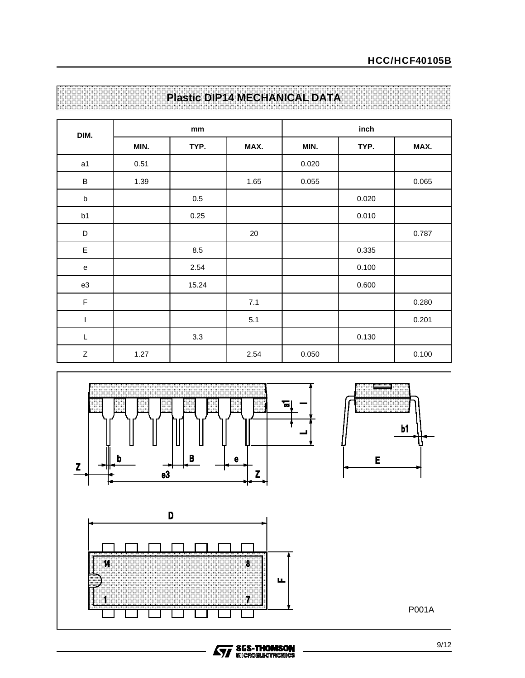| DIM.        |      | mm      |      | inch  |       |       |  |  |
|-------------|------|---------|------|-------|-------|-------|--|--|
|             | MIN. | TYP.    | MAX. | MIN.  | TYP.  | MAX.  |  |  |
| a1          | 0.51 |         |      | 0.020 |       |       |  |  |
| $\sf B$     | 1.39 |         | 1.65 | 0.055 |       | 0.065 |  |  |
| $\sf b$     |      | $0.5\,$ |      |       | 0.020 |       |  |  |
| b1          |      | 0.25    |      |       | 0.010 |       |  |  |
| D           |      |         | 20   |       |       | 0.787 |  |  |
| $\mathsf E$ |      | 8.5     |      |       | 0.335 |       |  |  |
| ${\bf e}$   |      | 2.54    |      |       | 0.100 |       |  |  |
| e3          |      | 15.24   |      |       | 0.600 |       |  |  |
| $\mathsf F$ |      |         | 7.1  |       |       | 0.280 |  |  |
| I           |      |         | 5.1  |       |       | 0.201 |  |  |
| $\mathsf L$ |      | 3.3     |      |       | 0.130 |       |  |  |
| $\mathsf Z$ | 1.27 |         | 2.54 | 0.050 |       | 0.100 |  |  |

## **Plastic DIP14 MECHANICAL DATA**

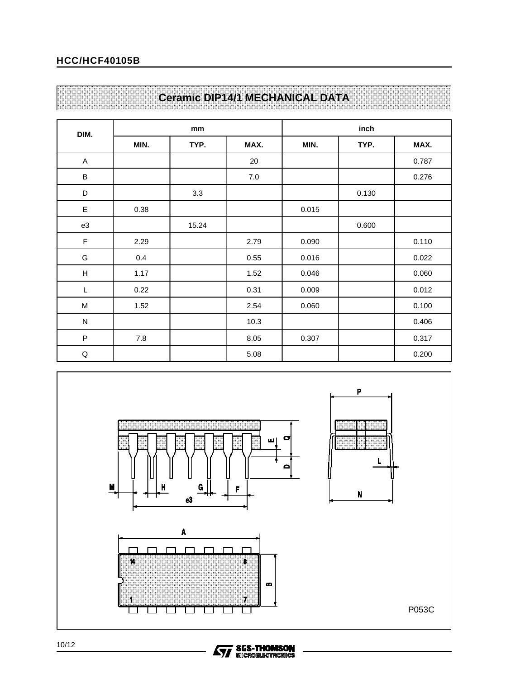## **Ceramic DIP14/1 MECHANICAL DATA**

| DIM.                      |      | mm    |      | inch  |       |       |  |  |
|---------------------------|------|-------|------|-------|-------|-------|--|--|
|                           | MIN. | TYP.  | MAX. | MIN.  | TYP.  | MAX.  |  |  |
| A                         |      |       | 20   |       |       | 0.787 |  |  |
| $\sf B$                   |      |       | 7.0  |       |       | 0.276 |  |  |
| D                         |      | 3.3   |      |       | 0.130 |       |  |  |
| $\mathsf E$               | 0.38 |       |      | 0.015 |       |       |  |  |
| e3                        |      | 15.24 |      |       | 0.600 |       |  |  |
| $\mathsf F$               | 2.29 |       | 2.79 | 0.090 |       | 0.110 |  |  |
| G                         | 0.4  |       | 0.55 | 0.016 |       | 0.022 |  |  |
| $\boldsymbol{\mathsf{H}}$ | 1.17 |       | 1.52 | 0.046 |       | 0.060 |  |  |
| L                         | 0.22 |       | 0.31 | 0.009 |       | 0.012 |  |  |
| M                         | 1.52 |       | 2.54 | 0.060 |       | 0.100 |  |  |
| ${\sf N}$                 |      |       | 10.3 |       |       | 0.406 |  |  |
| $\sf P$                   | 7.8  |       | 8.05 | 0.307 |       | 0.317 |  |  |
| $\sf Q$                   |      |       | 5.08 |       |       | 0.200 |  |  |



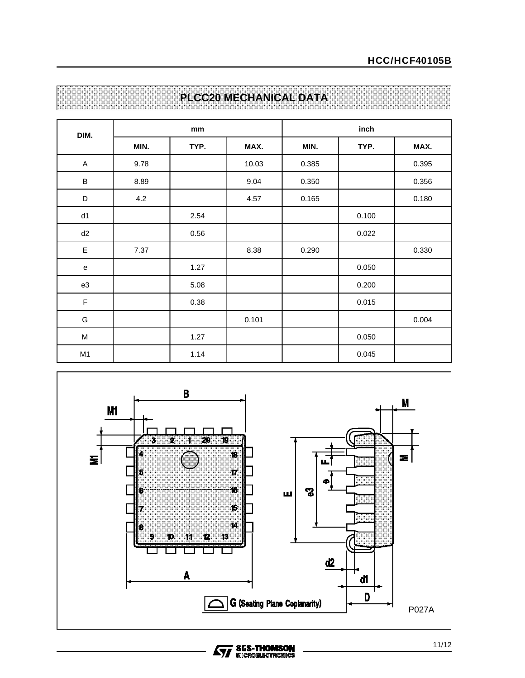| DIM.        |      | mm   |       | inch  |       |       |  |  |
|-------------|------|------|-------|-------|-------|-------|--|--|
|             | MIN. | TYP. | MAX.  | MIN.  | TYP.  | MAX.  |  |  |
| A           | 9.78 |      | 10.03 | 0.385 |       | 0.395 |  |  |
| $\sf B$     | 8.89 |      | 9.04  | 0.350 |       | 0.356 |  |  |
| D           | 4.2  |      | 4.57  | 0.165 |       | 0.180 |  |  |
| d1          |      | 2.54 |       |       | 0.100 |       |  |  |
| d2          |      | 0.56 |       |       | 0.022 |       |  |  |
| $\mathsf E$ | 7.37 |      | 8.38  | 0.290 |       | 0.330 |  |  |
| e           |      | 1.27 |       |       | 0.050 |       |  |  |
| e3          |      | 5.08 |       |       | 0.200 |       |  |  |
| $\mathsf F$ |      | 0.38 |       |       | 0.015 |       |  |  |
| G           |      |      | 0.101 |       |       | 0.004 |  |  |
| M           |      | 1.27 |       |       | 0.050 |       |  |  |
| M1          |      | 1.14 |       |       | 0.045 |       |  |  |

## **PLCC20 MECHANICAL DATA**